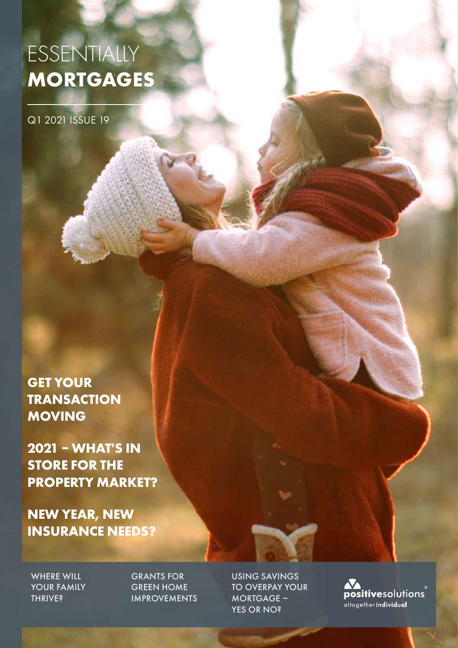# ESSENTIALLY **MORTGAGES**

Q1 2021 ISSUE 19

**GET YOUR TRANSACTION MOVING**

**2021 – WHAT'S IN STORE FOR THE PROPERTY MARKET?**

**NEW YEAR, NEW INSURANCE NEEDS?**

WHERE WILL YOUR FAMILY **THRIVE?** 

GRANTS FOR GREEN HOME IMPROVEMENTS USING SAVINGS TO OVERPAY YOUR MORTGAGE – YES OR NO?

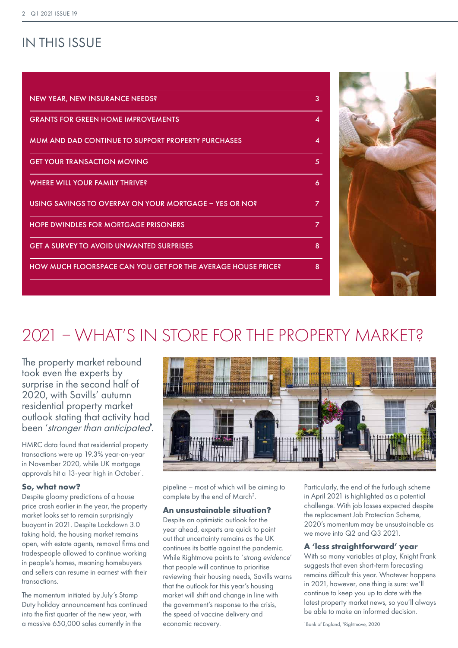### IN THIS ISSUE

| <b>NEW YEAR, NEW INSURANCE NEEDS?</b>                        | 3              |
|--------------------------------------------------------------|----------------|
| <b>GRANTS FOR GREEN HOME IMPROVEMENTS</b>                    | 4              |
| MUM AND DAD CONTINUE TO SUPPORT PROPERTY PURCHASES           | 4              |
| <b>GET YOUR TRANSACTION MOVING</b>                           | 5              |
| WHERE WILL YOUR FAMILY THRIVE?                               | 6              |
| USING SAVINGS TO OVERPAY ON YOUR MORTGAGE - YES OR NO?       | $\overline{z}$ |
| <b>HOPE DWINDLES FOR MORTGAGE PRISONERS</b>                  | 7              |
| <b>GET A SURVEY TO AVOID UNWANTED SURPRISES</b>              | 8              |
| HOW MUCH FLOORSPACE CAN YOU GET FOR THE AVERAGE HOUSE PRICE? | 8              |
|                                                              |                |



## 2021 – WHAT'S IN STORE FOR THE PROPERTY MARKET?

The property market rebound took even the experts by surprise in the second half of 2020, with Savills' autumn residential property market outlook stating that activity had been 'stronger than anticipated'.

HMRC data found that residential property transactions were up 19.3% year-on-year in November 2020, while UK mortgage approvals hit a 13-year high in October<sup>1</sup>.

#### **So, what now?**

Despite gloomy predictions of a house price crash earlier in the year, the property market looks set to remain surprisingly buoyant in 2021. Despite Lockdown 3.0 taking hold, the housing market remains open, with estate agents, removal firms and tradespeople allowed to continue working in people's homes, meaning homebuyers and sellers can resume in earnest with their transactions.

The momentum initiated by July's Stamp Duty holiday announcement has continued into the first quarter of the new year, with a massive 650,000 sales currently in the



pipeline – most of which will be aiming to complete by the end of March<sup>2</sup>.

#### **An unsustainable situation?**

Despite an optimistic outlook for the year ahead, experts are quick to point out that uncertainty remains as the UK continues its battle against the pandemic. While Rightmove points to '*strong evidence*' that people will continue to prioritise reviewing their housing needs, Savills warns that the outlook for this year's housing market will shift and change in line with the government's response to the crisis, the speed of vaccine delivery and economic recovery.

Particularly, the end of the furlough scheme in April 2021 is highlighted as a potential challenge. With job losses expected despite the replacement Job Protection Scheme, 2020's momentum may be unsustainable as we move into Q2 and Q3 2021.

#### **A 'less straightforward' year**

With so many variables at play, Knight Frank suggests that even short-term forecasting remains difficult this year. Whatever happens in 2021, however, one thing is sure: we'll continue to keep you up to date with the latest property market news, so you'll always be able to make an informed decision.

1 Bank of England, 2 Rightmove, 2020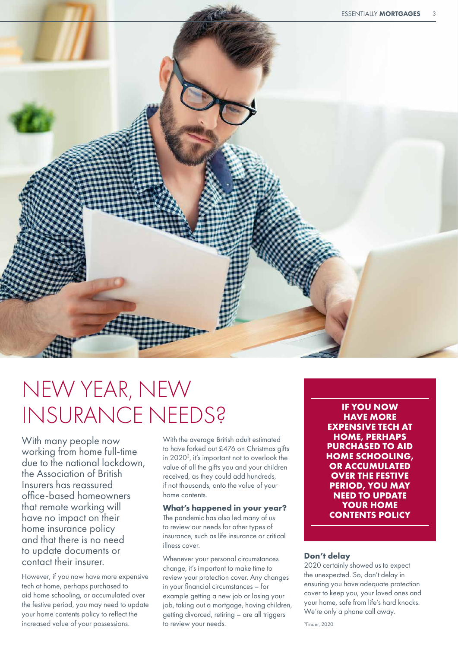

# NEW YEAR, NEW INSURANCE NEEDS? **IF YOU NOW**

With many people now working from home full-time due to the national lockdown, the Association of British Insurers has reassured office-based homeowners that remote working will have no impact on their home insurance policy and that there is no need to update documents or contact their insurer.

However, if you now have more expensive tech at home, perhaps purchased to aid home schooling, or accumulated over the festive period, you may need to update your home contents policy to reflect the increased value of your possessions.

With the average British adult estimated to have forked out £476 on Christmas gifts in 20203 , it's important not to overlook the value of all the gifts you and your children received, as they could add hundreds, if not thousands, onto the value of your home contents.

#### **What's happened in your year?**

The pandemic has also led many of us to review our needs for other types of insurance, such as life insurance or critical illness cover.

Whenever your personal circumstances change, it's important to make time to review your protection cover. Any changes in your financial circumstances – for example getting a new job or losing your job, taking out a mortgage, having children, getting divorced, retiring – are all triggers to review your needs.

**HAVE MORE EXPENSIVE TECH AT HOME, PERHAPS PURCHASED TO AID HOME SCHOOLING, OR ACCUMULATED OVER THE FESTIVE PERIOD, YOU MAY NEED TO UPDATE YOUR HOME CONTENTS POLICY**

#### **Don't delay**

2020 certainly showed us to expect the unexpected. So, don't delay in ensuring you have adequate protection cover to keep you, your loved ones and your home, safe from life's hard knocks. We're only a phone call away.

3 Finder, 2020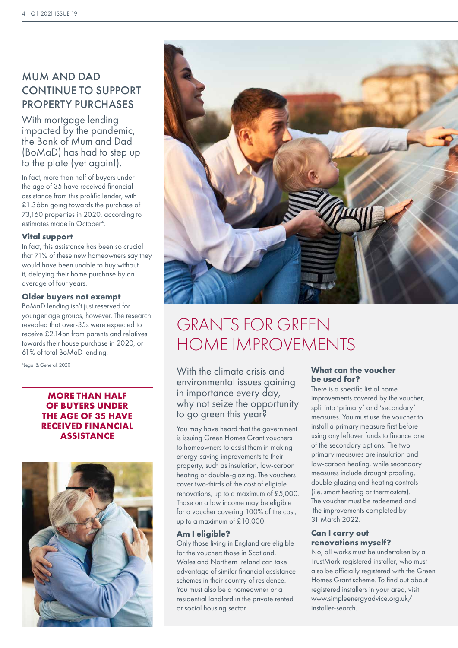### MUM AND DAD CONTINUE TO SUPPORT PROPERTY PURCHASES

With mortgage lending impacted by the pandemic, the Bank of Mum and Dad (BoMaD) has had to step up to the plate (yet again!).

In fact, more than half of buyers under the age of 35 have received financial assistance from this prolific lender, with £1.36bn going towards the purchase of 73,160 properties in 2020, according to estimates made in October4 .

#### **Vital support**

In fact, this assistance has been so crucial that 71% of these new homeowners say they would have been unable to buy without it, delaying their home purchase by an average of four years.

#### **Older buyers not exempt**

BoMaD lending isn't just reserved for younger age groups, however. The research revealed that over-35s were expected to receive £2.14bn from parents and relatives towards their house purchase in 2020, or 61% of total BoMaD lending.

<sup>4</sup>Legal & General, 2020

#### **MORE THAN HALF OF BUYERS UNDER THE AGE OF 35 HAVE RECEIVED FINANCIAL ASSISTANCE**





## GRANTS FOR GREEN HOME IMPROVEMENTS

With the climate crisis and environmental issues gaining in importance every day, why not seize the opportunity to go green this year?

You may have heard that the government is issuing Green Homes Grant vouchers to homeowners to assist them in making energy-saving improvements to their property, such as insulation, low-carbon heating or double-glazing. The vouchers cover two-thirds of the cost of eligible renovations, up to a maximum of £5,000. Those on a low income may be eligible for a voucher covering 100% of the cost, up to a maximum of £10,000.

#### **Am I eligible?**

Only those living in England are eligible for the voucher; those in Scotland, Wales and Northern Ireland can take advantage of similar financial assistance schemes in their country of residence. You must also be a homeowner or a residential landlord in the private rented or social housing sector.

#### **What can the voucher be used for?**

There is a specific list of home improvements covered by the voucher, split into 'primary' and 'secondary' measures. You must use the voucher to install a primary measure first before using any leftover funds to finance one of the secondary options. The two primary measures are insulation and low-carbon heating, while secondary measures include draught proofing, double glazing and heating controls (i.e. smart heating or thermostats). The voucher must be redeemed and the improvements completed by 31 March 2022.

#### **Can I carry out renovations myself?**

No, all works must be undertaken by a TrustMark-registered installer, who must also be officially registered with the Green Homes Grant scheme. To find out about registered installers in your area, visit: www.simpleenergyadvice.org.uk/ installer-search.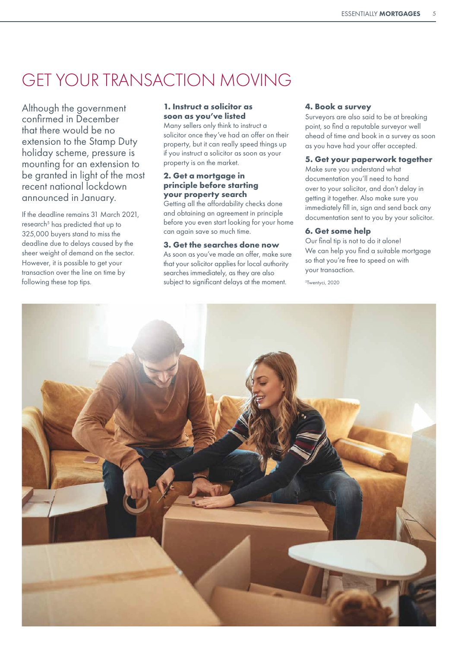## GET YOUR TRANSACTION MOVING

Although the government confirmed in December that there would be no extension to the Stamp Duty holiday scheme, pressure is mounting for an extension to be granted in light of the most recent national lockdown announced in January.

If the deadline remains 31 March 2021, research<sup>5</sup> has predicted that up to 325,000 buyers stand to miss the deadline due to delays caused by the sheer weight of demand on the sector. However, it is possible to get your transaction over the line on time by following these top tips.

#### **1. Instruct a solicitor as soon as you've listed**

Many sellers only think to instruct a solicitor once they've had an offer on their property, but it can really speed things up if you instruct a solicitor as soon as your property is on the market.

#### **2. Get a mortgage in principle before starting your property search**

Getting all the affordability checks done and obtaining an agreement in principle before you even start looking for your home can again save so much time.

#### **3. Get the searches done now**

As soon as you've made an offer, make sure that your solicitor applies for local authority searches immediately, as they are also subject to significant delays at the moment.

#### **4. Book a survey**

Surveyors are also said to be at breaking point, so find a reputable surveyor well ahead of time and book in a survey as soon as you have had your offer accepted.

#### **5. Get your paperwork together**

Make sure you understand what documentation you'll need to hand over to your solicitor, and don't delay in getting it together. Also make sure you immediately fill in, sign and send back any documentation sent to you by your solicitor.

#### **6. Get some help**

Our final tip is not to do it alone! We can help you find a suitable mortgage so that you're free to speed on with your transaction.

5 Twentyci, 2020

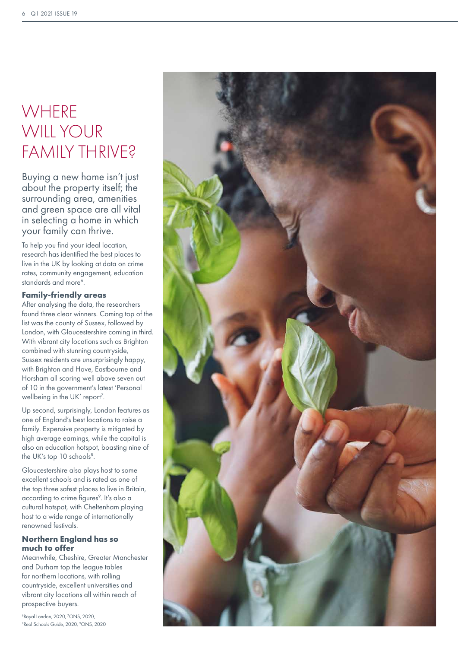## **WHERE** WILL YOUR FAMILY THRIVE?

Buying a new home isn't just about the property itself; the surrounding area, amenities and green space are all vital in selecting a home in which your family can thrive.

To help you find your ideal location, research has identified the best places to live in the UK by looking at data on crime rates, community engagement, education standards and more<sup>6</sup>.

#### **Family-friendly areas**

After analysing the data, the researchers found three clear winners. Coming top of the list was the county of Sussex, followed by London, with Gloucestershire coming in third. With vibrant city locations such as Brighton combined with stunning countryside, Sussex residents are unsurprisingly happy, with Brighton and Hove, Eastbourne and Horsham all scoring well above seven out of 10 in the government's latest 'Personal wellbeing in the UK' report<sup>7</sup>.

Up second, surprisingly, London features as one of England's best locations to raise a family. Expensive property is mitigated by high average earnings, while the capital is also an education hotspot, boasting nine of the UK's top 10 schools<sup>8</sup>.

Gloucestershire also plays host to some excellent schools and is rated as one of the top three safest places to live in Britain, according to crime figures<sup>9</sup>. It's also a cultural hotspot, with Cheltenham playing host to a wide range of internationally renowned festivals.

#### **Northern England has so much to offer**

Meanwhile, Cheshire, Greater Manchester and Durham top the league tables for northern locations, with rolling countryside, excellent universities and vibrant city locations all within reach of prospective buyers.

6 Royal London, 2020, 7 ONS, 2020, <sup>8</sup>Real Schools Guide, 2020, <sup>9</sup>ONS, 2020

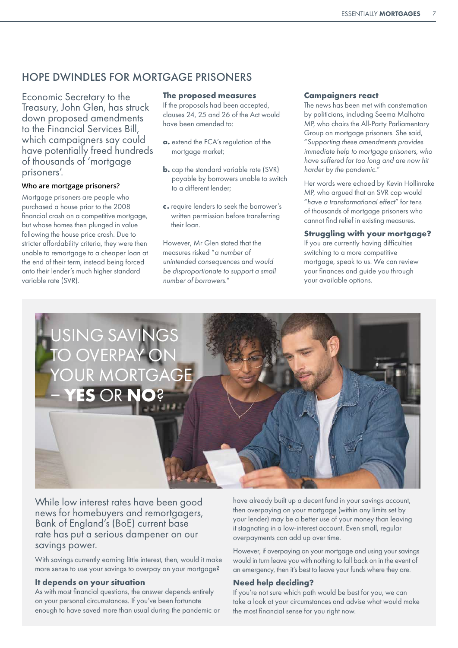### HOPE DWINDLES FOR MORTGAGE PRISONERS

Economic Secretary to the Treasury, John Glen, has struck down proposed amendments to the Financial Services Bill, which campaigners say could have potentially freed hundreds of thousands of 'mortgage prisoners'.

#### **Who are mortgage prisoners?**

Mortgage prisoners are people who purchased a house prior to the 2008 financial crash on a competitive mortagge. but whose homes then plunged in value following the house price crash. Due to stricter affordability criteria, they were then unable to remortgage to a cheaper loan at the end of their term, instead being forced onto their lender's much higher standard variable rate (SVR).

#### **The proposed measures**

If the proposals had been accepted, clauses 24, 25 and 26 of the Act would have been amended to:

- **a.** extend the FCA's regulation of the mortgage market;
- **b.** cap the standard variable rate (SVR) payable by borrowers unable to switch to a different lender;
- **c.** require lenders to seek the borrower's written permission before transferring their loan.

However, Mr Glen stated that the measures risked "*a number of unintended consequences and would be disproportionate to support a small number of borrowers.*"

#### **Campaigners react**

The news has been met with consternation by politicians, including Seema Malhotra MP, who chairs the All-Party Parliamentary Group on mortgage prisoners. She said, "*Supporting these amendments provides immediate help to mortgage prisoners, who have suffered far too long and are now hit harder by the pandemic.*"

Her words were echoed by Kevin Hollinrake MP, who argued that an SVR cap would "*have a transformational effect*" for tens of thousands of mortgage prisoners who cannot find relief in existing measures.

#### **Struggling with your mortgage?**

If you are currently having difficulties switching to a more competitive mortgage, speak to us. We can review your finances and guide you through your available options.



While low interest rates have been good news for homebuyers and remortgagers, Bank of England's (BoE) current base rate has put a serious dampener on our savings power.

With savings currently earning little interest, then, would it make more sense to use your savings to overpay on your mortgage?

#### **It depends on your situation**

As with most financial questions, the answer depends entirely on your personal circumstances. If you've been fortunate enough to have saved more than usual during the pandemic or have already built up a decent fund in your savings account, then overpaying on your mortgage (within any limits set by your lender) may be a better use of your money than leaving it stagnating in a low-interest account. Even small, regular overpayments can add up over time.

However, if overpaying on your mortgage and using your savings would in turn leave you with nothing to fall back on in the event of an emergency, then it's best to leave your funds where they are.

#### **Need help deciding?**

If you're not sure which path would be best for you, we can take a look at your circumstances and advise what would make the most financial sense for you right now.